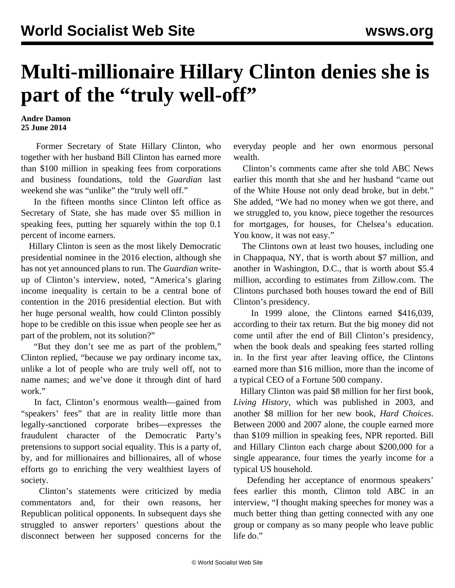## **Multi-millionaire Hillary Clinton denies she is** part of the "truly well-off"

## **Andre Damon 25 June 2014**

 Former Secretary of State Hillary Clinton, who together with her husband Bill Clinton has earned more than \$100 million in speaking fees from corporations and business foundations, told the *Guardian* last weekend she was "unlike" the "truly well off."

 In the fifteen months since Clinton left office as Secretary of State, she has made over \$5 million in speaking fees, putting her squarely within the top 0.1 percent of income earners.

 Hillary Clinton is seen as the most likely Democratic presidential nominee in the 2016 election, although she has not yet announced plans to run. The *Guardian* writeup of Clinton's interview, noted, "America's glaring income inequality is certain to be a central bone of contention in the 2016 presidential election. But with her huge personal wealth, how could Clinton possibly hope to be credible on this issue when people see her as part of the problem, not its solution?"

 "But they don't see me as part of the problem," Clinton replied, "because we pay ordinary income tax, unlike a lot of people who are truly well off, not to name names; and we've done it through dint of hard work."

 In fact, Clinton's enormous wealth—gained from "speakers' fees" that are in reality little more than legally-sanctioned corporate bribes—expresses the fraudulent character of the Democratic Party's pretensions to support social equality. This is a party of, by, and for millionaires and billionaires, all of whose efforts go to enriching the very wealthiest layers of society.

 Clinton's statements were criticized by media commentators and, for their own reasons, her Republican political opponents. In subsequent days she struggled to answer reporters' questions about the disconnect between her supposed concerns for the

everyday people and her own enormous personal wealth.

 Clinton's comments came after she told ABC News earlier this month that she and her husband "came out of the White House not only dead broke, but in debt." She added, "We had no money when we got there, and we struggled to, you know, piece together the resources for mortgages, for houses, for Chelsea's education. You know, it was not easy."

 The Clintons own at least two houses, including one in Chappaqua, NY, that is worth about \$7 million, and another in Washington, D.C., that is worth about \$5.4 million, according to estimates from Zillow.com. The Clintons purchased both houses toward the end of Bill Clinton's presidency.

 In 1999 alone, the Clintons earned \$416,039, according to their tax return. But the big money did not come until after the end of Bill Clinton's presidency, when the book deals and speaking fees started rolling in. In the first year after leaving office, the Clintons earned more than \$16 million, more than the income of a typical CEO of a Fortune 500 company.

 Hillary Clinton was paid \$8 million for her first book, *Living History*, which was published in 2003, and another \$8 million for her new book, *Hard Choices*. Between 2000 and 2007 alone, the couple earned more than \$109 million in speaking fees, NPR reported. Bill and Hillary Clinton each charge about \$200,000 for a single appearance, four times the yearly income for a typical US household.

 Defending her acceptance of enormous speakers' fees earlier this month, Clinton told ABC in an interview, "I thought making speeches for money was a much better thing than getting connected with any one group or company as so many people who leave public life do."